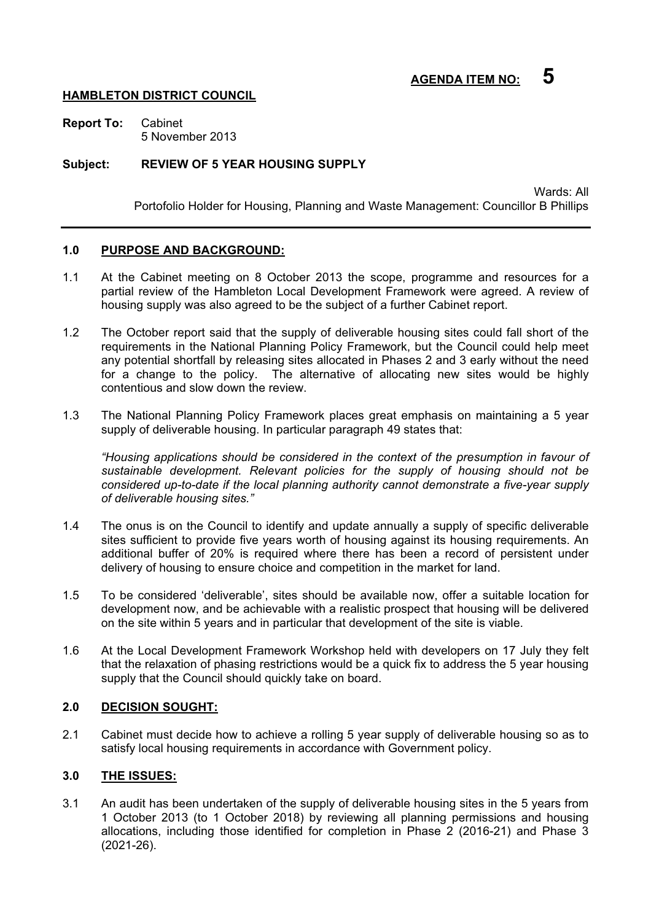### **HAMBLETON DISTRICT COUNCIL**

**Report To:** Cabinet 5 November 2013

#### **Subject: REVIEW OF 5 YEAR HOUSING SUPPLY**

Wards: All Portofolio Holder for Housing, Planning and Waste Management: Councillor B Phillips

### **1.0 PURPOSE AND BACKGROUND:**

- 1.1 At the Cabinet meeting on 8 October 2013 the scope, programme and resources for a partial review of the Hambleton Local Development Framework were agreed. A review of housing supply was also agreed to be the subject of a further Cabinet report.
- 1.2 The October report said that the supply of deliverable housing sites could fall short of the requirements in the National Planning Policy Framework, but the Council could help meet any potential shortfall by releasing sites allocated in Phases 2 and 3 early without the need for a change to the policy. The alternative of allocating new sites would be highly contentious and slow down the review.
- 1.3 The National Planning Policy Framework places great emphasis on maintaining a 5 year supply of deliverable housing. In particular paragraph 49 states that:

*"Housing applications should be considered in the context of the presumption in favour of sustainable development. Relevant policies for the supply of housing should not be considered up-to-date if the local planning authority cannot demonstrate a five-year supply of deliverable housing sites."* 

- 1.4 The onus is on the Council to identify and update annually a supply of specific deliverable sites sufficient to provide five years worth of housing against its housing requirements. An additional buffer of 20% is required where there has been a record of persistent under delivery of housing to ensure choice and competition in the market for land.
- 1.5 To be considered 'deliverable', sites should be available now, offer a suitable location for development now, and be achievable with a realistic prospect that housing will be delivered on the site within 5 years and in particular that development of the site is viable.
- 1.6 At the Local Development Framework Workshop held with developers on 17 July they felt that the relaxation of phasing restrictions would be a quick fix to address the 5 year housing supply that the Council should quickly take on board.

#### **2.0 DECISION SOUGHT:**

2.1 Cabinet must decide how to achieve a rolling 5 year supply of deliverable housing so as to satisfy local housing requirements in accordance with Government policy.

#### **3.0 THE ISSUES:**

3.1 An audit has been undertaken of the supply of deliverable housing sites in the 5 years from 1 October 2013 (to 1 October 2018) by reviewing all planning permissions and housing allocations, including those identified for completion in Phase 2 (2016-21) and Phase 3 (2021-26).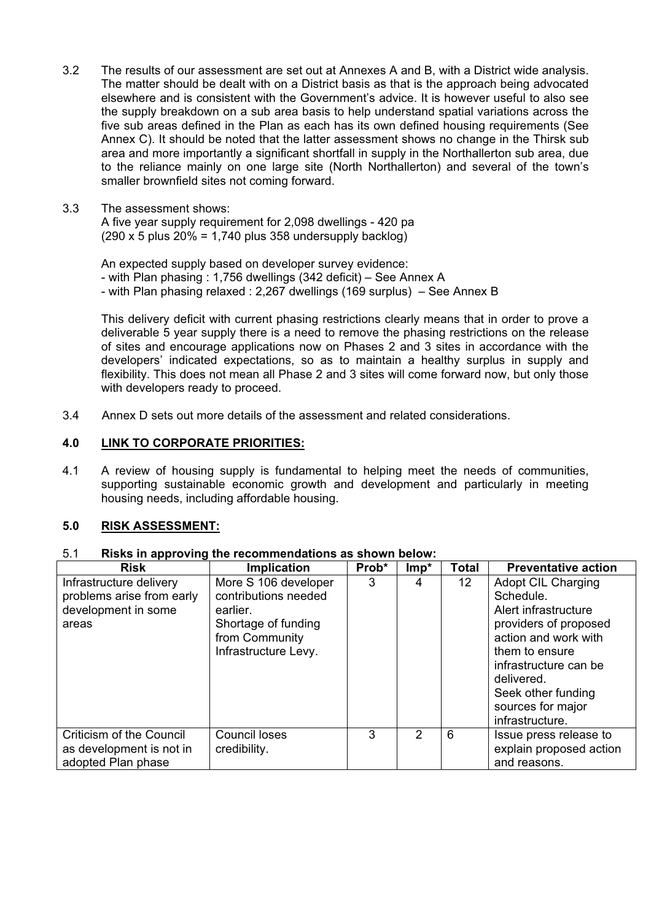- 3.2 The results of our assessment are set out at Annexes A and B, with a District wide analysis. The matter should be dealt with on a District basis as that is the approach being advocated elsewhere and is consistent with the Government's advice. It is however useful to also see the supply breakdown on a sub area basis to help understand spatial variations across the five sub areas defined in the Plan as each has its own defined housing requirements (See Annex C). It should be noted that the latter assessment shows no change in the Thirsk sub area and more importantly a significant shortfall in supply in the Northallerton sub area, due to the reliance mainly on one large site (North Northallerton) and several of the town's smaller brownfield sites not coming forward.
- 3.3 The assessment shows:

A five year supply requirement for 2,098 dwellings - 420 pa  $(290 \times 5 \text{ plus } 20\% = 1.740 \text{ plus } 358 \text{ undersup}$ 

An expected supply based on developer survey evidence: - with Plan phasing : 1,756 dwellings (342 deficit) – See Annex A - with Plan phasing relaxed : 2,267 dwellings (169 surplus) – See Annex B

This delivery deficit with current phasing restrictions clearly means that in order to prove a deliverable 5 year supply there is a need to remove the phasing restrictions on the release of sites and encourage applications now on Phases 2 and 3 sites in accordance with the developers' indicated expectations, so as to maintain a healthy surplus in supply and flexibility. This does not mean all Phase 2 and 3 sites will come forward now, but only those with developers ready to proceed.

3.4 Annex D sets out more details of the assessment and related considerations.

### **4.0 LINK TO CORPORATE PRIORITIES:**

4.1 A review of housing supply is fundamental to helping meet the needs of communities, supporting sustainable economic growth and development and particularly in meeting housing needs, including affordable housing.

#### **5.0 RISK ASSESSMENT:**

| 5.1 | Risks in approving the recommendations as shown below: |  |  |
|-----|--------------------------------------------------------|--|--|
|-----|--------------------------------------------------------|--|--|

| <b>Risk</b>               | <b>Implication</b>   | Prob* | $Imp*$ | <b>Total</b> | <b>Preventative action</b> |
|---------------------------|----------------------|-------|--------|--------------|----------------------------|
| Infrastructure delivery   | More S 106 developer | 3     | 4      | 12           | <b>Adopt CIL Charging</b>  |
| problems arise from early | contributions needed |       |        |              | Schedule.                  |
| development in some       | earlier.             |       |        |              | Alert infrastructure       |
| areas                     | Shortage of funding  |       |        |              | providers of proposed      |
|                           | from Community       |       |        |              | action and work with       |
|                           | Infrastructure Levy. |       |        |              | them to ensure             |
|                           |                      |       |        |              | infrastructure can be      |
|                           |                      |       |        |              | delivered.                 |
|                           |                      |       |        |              | Seek other funding         |
|                           |                      |       |        |              | sources for major          |
|                           |                      |       |        |              | infrastructure.            |
| Criticism of the Council  | Council loses        | 3     | 2      | 6            | Issue press release to     |
| as development is not in  | credibility.         |       |        |              | explain proposed action    |
| adopted Plan phase        |                      |       |        |              | and reasons.               |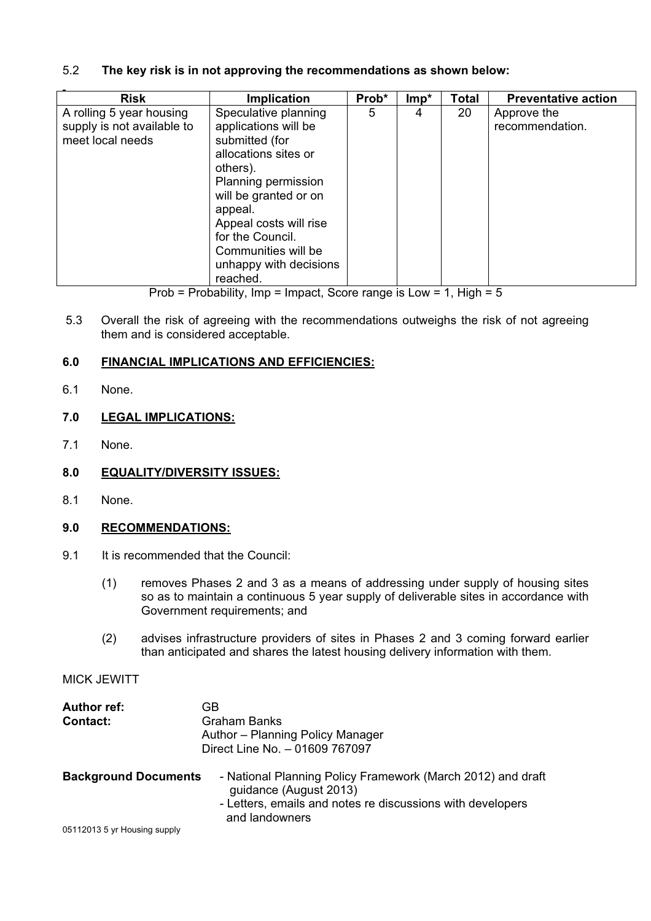## 5.2 **The key risk is in not approving the recommendations as shown below:**

| <b>Risk</b>                                                                | <b>Implication</b>                                                                                                                                                 | Prob* | $Imp*$ | Total | <b>Preventative action</b>     |
|----------------------------------------------------------------------------|--------------------------------------------------------------------------------------------------------------------------------------------------------------------|-------|--------|-------|--------------------------------|
| A rolling 5 year housing<br>supply is not available to<br>meet local needs | Speculative planning<br>applications will be<br>submitted (for<br>allocations sites or<br>others).                                                                 | 5     | 4      | 20    | Approve the<br>recommendation. |
|                                                                            | Planning permission<br>will be granted or on<br>appeal.<br>Appeal costs will rise<br>for the Council.<br>Communities will be<br>unhappy with decisions<br>reached. |       |        |       |                                |

Prob = Probability, Imp = Impact, Score range is Low = 1, High =  $5$ 

5.3 Overall the risk of agreeing with the recommendations outweighs the risk of not agreeing them and is considered acceptable.

## **6.0 FINANCIAL IMPLICATIONS AND EFFICIENCIES:**

6.1 None.

# **7.0 LEGAL IMPLICATIONS:**

- 7.1 None.
- **8.0 EQUALITY/DIVERSITY ISSUES:**
- 8.1 None.

## **9.0 RECOMMENDATIONS:**

- 9.1 It is recommended that the Council:
	- (1) removes Phases 2 and 3 as a means of addressing under supply of housing sites so as to maintain a continuous 5 year supply of deliverable sites in accordance with Government requirements; and
	- (2) advises infrastructure providers of sites in Phases 2 and 3 coming forward earlier than anticipated and shares the latest housing delivery information with them.

## MICK JEWITT

| Author ref:<br><b>Contact:</b>                              | GB<br>Graham Banks<br>Author - Planning Policy Manager<br>Direct Line No. - 01609 767097                                                                              |
|-------------------------------------------------------------|-----------------------------------------------------------------------------------------------------------------------------------------------------------------------|
| <b>Background Documents</b><br>05112013 5 yr Housing supply | - National Planning Policy Framework (March 2012) and draft<br>guidance (August 2013)<br>- Letters, emails and notes re discussions with developers<br>and landowners |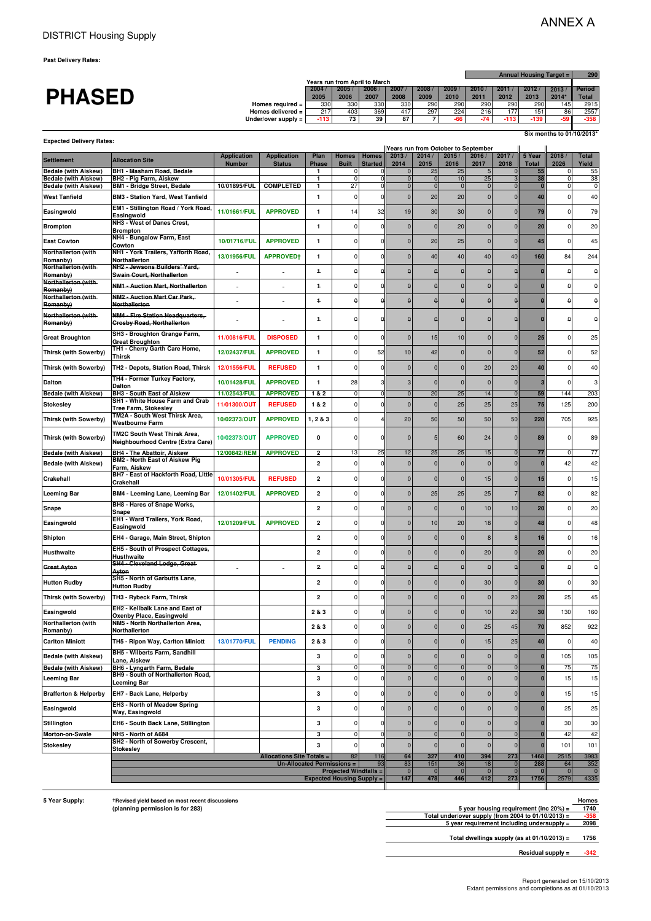**Past Delivery Rates:**

**Expected Delivery Rates:**

|               |                                      |      |      |                               |      |      |      |      |      |        | Annual Housing Target = |              |  |  |  |
|---------------|--------------------------------------|------|------|-------------------------------|------|------|------|------|------|--------|-------------------------|--------------|--|--|--|
|               |                                      |      |      | Years run from April to March |      |      |      |      |      |        |                         |              |  |  |  |
|               |                                      | 2004 | 2005 | 2006                          | 2007 | 2008 | 2009 | 2010 | 2011 | 2012.  | 2013                    | Period       |  |  |  |
| <b>PHASED</b> |                                      | 2005 | 2006 | 2007                          | 2008 | 2009 | 2010 | 2011 | 2012 | 2013   | 2014                    | <b>Total</b> |  |  |  |
|               | Homes required $=$                   | 330  | 330  | 330                           | 330  | 290  | 290  | 290  | 290  | 290    | 145                     | 2915         |  |  |  |
|               | Homes delivered $=$                  | 217  | 403  | 369                           | 417  | 297  | 224  | 216  | 77   | 151    | 86                      | 2557         |  |  |  |
|               | Under/over supply $=$ $\blacksquare$ | -113 | 73   | 39                            | 87   |      |      |      | -113 | $-139$ | $-59$                   | $-358$       |  |  |  |
|               |                                      |      |      |                               |      |      |      |      |      |        |                         |              |  |  |  |

**Six months to 01/10/2013\***

|                                  |                                                                                  |                                     |                                     |                                  | Years run from October to September |                         |                      |                     |                      |                   |                            |                        |                      |                       |
|----------------------------------|----------------------------------------------------------------------------------|-------------------------------------|-------------------------------------|----------------------------------|-------------------------------------|-------------------------|----------------------|---------------------|----------------------|-------------------|----------------------------|------------------------|----------------------|-----------------------|
| <b>Settlement</b>                | <b>Allocation Site</b>                                                           | <b>Application</b><br><b>Number</b> | <b>Application</b><br><b>Status</b> | Plan<br><b>Phase</b>             | <b>Homes</b><br><b>Built</b>        | Homes<br><b>Started</b> | 2013/<br>2014        | 2014/<br>2015       | 2015/<br>2016        | 2016/<br>2017     | 2017/<br>2018              | 5 Year<br><b>Total</b> | 2018/<br>2026        | <b>Total</b><br>Yield |
| <b>Bedale (with Aiskew)</b>      | BH1 - Masham Road, Bedale                                                        |                                     |                                     | 1                                |                                     |                         |                      | 25                  | 25                   |                   |                            | 55                     |                      | 55                    |
| <b>Bedale (with Aiskew)</b>      | BH2 - Pig Farm, Aiskew                                                           |                                     |                                     | 1                                | 0                                   |                         | $\Omega$             | $\mathbf 0$         | 10                   | 25                |                            | 38                     | $\Omega$             | 38                    |
| <b>Bedale (with Aiskew)</b>      | <b>BM1 - Bridge Street, Bedale</b>                                               | 10/01895/FUL                        | <b>COMPLETED</b>                    | 1                                | 27                                  |                         | $\mathbf 0$          | $\mathbf 0$         | $\overline{0}$       | $\mathbf 0$       | $\overline{0}$             | $\mathbf{0}$           | $\sqrt{ }$           | $\mathbf 0$           |
| <b>West Tanfield</b>             | <b>BM3 - Station Yard, West Tanfield</b>                                         |                                     |                                     | 1                                | 0                                   |                         | $\Omega$             | 20                  | 20                   | 0                 | $\mathbf 0$                | 40                     | $\sqrt{ }$           | 40                    |
| Easingwold                       | EM1 - Stillington Road / York Road,<br>Easingwold                                | 11/01661/FUL                        | <b>APPROVED</b>                     | 1                                | 14                                  | 32                      | 19                   | 30                  | 30                   | 0                 | $\mathbf 0$                | 79                     | C                    | 79                    |
| <b>Brompton</b>                  | NH3 - West of Danes Crest,<br><b>Brompton</b>                                    |                                     |                                     | 1                                | 0                                   | $\sqrt{ }$              | $\Omega$             | $\overline{0}$      | 20                   | $\mathbf 0$       | $\mathbf 0$                | 20                     | $\sqrt{ }$           | 20                    |
| <b>East Cowton</b>               | NH4 - Bungalow Farm, East                                                        | 10/01716/FUL                        | <b>APPROVED</b>                     | 1                                | $\Omega$                            |                         | $\Omega$             | 20                  | 25                   | $\mathbf 0$       | $\Omega$                   | 45                     | $\epsilon$           | 45                    |
| Northallerton (with              | Cowton<br>NH1 - York Trailers, Yafforth Road,                                    | 13/01956/FUL                        | APPROVED+                           | 1                                | 0                                   |                         | $\Omega$             | 40                  | 40                   | 40                | 40                         | 160                    | 84                   | 244                   |
| Romanby)<br>Northallerton (with- | <b>Northallerton</b><br>NH2 - Jewsons Builders' Yard,                            |                                     |                                     | $\ddagger$                       | θ                                   | A                       | $\theta$             | $\theta$            | $\theta$             | $\pmb{\theta}$    | $\theta$                   |                        | €                    | θ                     |
| Romanby)<br>Northallerton (with- | <b>Swain Court, Northallerton</b><br><b>NM1 - Auction Mart, Northallerton</b>    |                                     |                                     | $\ddagger$                       | $\theta$                            |                         | £                    | $\theta$            | θ                    | $\pmb{\theta}$    | $\theta$                   |                        |                      | $\theta$              |
| Romanby)<br>Northallerton (with- | <b>NM2 - Auction Mart Car Park,</b>                                              |                                     |                                     |                                  |                                     |                         |                      |                     |                      |                   |                            |                        |                      |                       |
| Romanby)                         | <b>Northallerton</b>                                                             |                                     |                                     | $\ddagger$                       | $\theta$                            |                         | $\theta$             |                     | θ                    | θ                 | $\theta$                   |                        | ء                    | θ                     |
| Northallerton (with-<br>Romanby) | <b>NM4 - Fire Station Headquarters,</b><br><b>Crosby Road, Northallerton</b>     |                                     |                                     | $\ddagger$                       | $\theta$                            | c                       |                      | $\theta$            | $\pmb{\theta}$       | $\theta$          | $\theta$                   |                        |                      | $\pmb{\Theta}$        |
| <b>Great Broughton</b>           | SH3 - Broughton Grange Farm,<br><b>Great Broughton</b>                           | 11/00816/FUL                        | <b>DISPOSED</b>                     | 1                                | 0                                   |                         | $\Omega$             | 15                  | 10                   | 0                 | $\Omega$                   | 25                     | $\Omega$             | 25                    |
| <b>Thirsk (with Sowerby)</b>     | TH1 - Cherry Garth Care Home,<br>Thirsk                                          | 12/02437/FUL                        | <b>APPROVED</b>                     | 1                                | 0                                   | 52                      | 10                   | 42                  | $\pmb{0}$            | $\Omega$          | $\Omega$                   | 52                     | C                    | 52                    |
| <b>Thirsk (with Sowerby)</b>     | TH2 - Depots, Station Road, Thirsk                                               | 12/01556/FUL                        | <b>REFUSED</b>                      | $\mathbf{1}$                     | 0                                   |                         | $\mathbf{0}$         | $\mathbf{0}$        | $\mathbf{0}$         | 20                | 20                         | 40                     | $\Omega$             | 40                    |
| <b>Dalton</b>                    | TH4 - Former Turkey Factory,<br><b>Dalton</b>                                    | 10/01428/FUL                        | <b>APPROVED</b>                     | 1                                | 28                                  |                         | 3                    | $\Omega$            | $\mathbf 0$          | 0                 | $\mathbf 0$                |                        | ſ                    | 3                     |
| <b>Bedale (with Aiskew)</b>      | BH3 - South East of Aiskew                                                       | 11/02543/FUL                        | <b>APPROVED</b>                     | 1&2                              | $\Omega$                            |                         | $\mathbf{0}$         | 20                  | 25                   | 14                | $\overline{0}$             | 59                     | 144                  | 203                   |
| <b>Stokesley</b>                 | SH1 - White House Farm and Crab                                                  | 11/01300/OUT                        | <b>REFUSED</b>                      | 1&2                              | 0                                   |                         | $\mathcal{C}$        | $\Omega$            | 25                   | 25                | 25                         | 75                     | 125                  | 200                   |
| <b>Thirsk (with Sowerby)</b>     | Tree Farm, Stokesley<br>TM2A - South West Thirsk Area,<br><b>Westbourne Farm</b> | 10/02373/OUT                        | <b>APPROVED</b>                     | 1, 2 & 3                         | 0                                   |                         | 20                   | 50                  | 50                   | 50                | 50                         | 220                    | 705                  | 925                   |
| <b>Thirsk (with Sowerby)</b>     | TM2C South West Thirsk Area,<br>Neighbourhood Centre (Extra Care)                | 10/02373/OUT                        | <b>APPROVED</b>                     | 0                                | $\Omega$                            |                         | $\Omega$             | 5                   | 60                   | 24                | $\mathbf 0$                | 89                     | $\Omega$             | 89                    |
| <b>Bedale (with Aiskew)</b>      | <b>BH4 - The Abattoir, Aiskew</b>                                                | 12/00842/REM                        | <b>APPROVED</b>                     | 2                                | 13                                  | 25                      | 12                   | 25                  | 25                   | 15                | $\mathbf 0$                | 77                     | $\Omega$             | $77$                  |
| <b>Bedale (with Aiskew)</b>      | <b>BM2 - North East of Aiskew Pig</b>                                            |                                     |                                     | 2                                | 0                                   | ſ                       | $\Omega$             | $\Omega$            | $\mathbf 0$          | $\mathbf 0$       | $\mathbf 0$                |                        | 42                   | 42                    |
|                                  | Farm, Aiskew<br>BH7 - East of Hackforth Road, Little                             |                                     |                                     |                                  |                                     |                         |                      |                     |                      |                   |                            |                        |                      |                       |
| Crakehall                        | Crakehall                                                                        | 10/01305/FUL                        | <b>REFUSED</b>                      | $\overline{\mathbf{2}}$          | 0                                   |                         | $\Omega$             | $\mathbf{0}$        | $\mathbf 0$          | 15                | $\Omega$                   | 15                     | $\Omega$             | 15                    |
| <b>Leeming Bar</b>               | <b>BM4 - Leeming Lane, Leeming Bar</b>                                           | 12/01402/FUL                        | <b>APPROVED</b>                     | 2                                | 0                                   |                         | $\mathbf{0}$         | 25                  | 25                   | 25                | $\overline{7}$             | 82                     | $\Omega$             | 82                    |
| Snape                            | BH8 - Hares of Snape Works,<br>Snape                                             |                                     |                                     | 2                                | 0                                   |                         | $\Omega$             | $\mathbf{0}$        | $\mathbf 0$          | 10                | 10                         | 20                     | $\Omega$             | 20                    |
| Easingwold                       | EH1 - Ward Trailers, York Road,<br>Easingwold                                    | 12/01209/FUL                        | <b>APPROVED</b>                     | $\overline{\mathbf{2}}$          | 0                                   |                         | $\Omega$             | 10                  | 20                   | 18                | $\mathbf 0$                | 48                     | $\mathbf 0$          | 48                    |
| Shipton                          | EH4 - Garage, Main Street, Shipton                                               |                                     |                                     | $\overline{\mathbf{2}}$          | 0                                   |                         | $\Omega$             | $\Omega$            | $\mathbf 0$          | 8                 | 8                          | 16                     | $\mathbf 0$          | 16                    |
| <b>Husthwaite</b>                | EH5 - South of Prospect Cottages,<br>Husthwaite                                  |                                     |                                     | $\overline{2}$                   | 0                                   |                         | $\Omega$             | $\Omega$            | $\mathbf{0}$         | 20                | $\mathbf 0$                | 20                     | C                    | 20                    |
| <b>Great Ayton</b>               | SH4 - Cleveland Lodge, Great<br>Ayton                                            |                                     |                                     | 2                                | $\pmb{\uptheta}$                    |                         | $\overline{a}$       | $\Omega$            | $\pmb{\uptheta}$     | $\Omega$          | $\Omega$                   |                        | £                    | θ                     |
| <b>Hutton Rudby</b>              | SH5 - North of Garbutts Lane,                                                    |                                     |                                     | 2                                | 0                                   |                         | $\Omega$             | n                   | $\mathbf{0}$         | 30                | $\Omega$                   | 30                     | ſ                    | 30                    |
| <b>Thirsk (with Sowerby)</b>     | <b>Hutton Rudby</b><br>TH3 - Rybeck Farm, Thirsk                                 |                                     |                                     | $\overline{\mathbf{2}}$          | 0                                   |                         | $\Omega$             | $\Omega$            | $\mathbf 0$          | 0                 | 20                         | 20                     | 25                   | 45                    |
| Easingwold                       | EH2 - Kellbalk Lane and East of                                                  |                                     |                                     | 2 & 3                            | 0                                   | ſ                       | $\Omega$             | n                   | $\mathbf{0}$         | 10                | 20                         | 30                     | 130                  | 160                   |
| Northallerton (with              | Oxenby Place, Easingwold<br>NM5 - North Northallerton Area,                      |                                     |                                     |                                  |                                     |                         |                      |                     |                      |                   |                            |                        |                      |                       |
| Romanby)                         | Northallerton                                                                    |                                     |                                     | 2 & 3                            | $\Omega$                            |                         | $\Omega$             |                     | $\Omega$             | 25                | 45                         | 70                     | 852                  | 922                   |
| <b>Carlton Miniott</b>           | TH5 Ripon Way, Carlton Miniott                                                   | 13/01770/FUL                        | <b>PENDING</b>                      | 2 & 3                            | $\overline{0}$                      | ΩI                      | $\overline{0}$       | $\mathbf{0}$        | $\mathbf 0$          | 15                | 25                         | 40                     | 0                    | 40                    |
| <b>Bedale (with Aiskew)</b>      | BH5 - Wilberts Farm, Sandhill<br>Lane, Aiskew                                    |                                     |                                     | 3                                | 0                                   | $\Omega$                | $\overline{0}$       | $\overline{0}$      | $\mathbf{0}$         | $\overline{0}$    | $\Omega$                   |                        | 105                  | 105                   |
| <b>Bedale (with Aiskew)</b>      | BH6 - Lyngarth Farm, Bedale                                                      |                                     |                                     | 3                                | 0                                   |                         | $\pmb{0}$            | $\pmb{0}$           | $\pmb{0}$            | $\mathbf 0$       | $\Omega$                   |                        | 75                   | 75                    |
| <b>Leeming Bar</b>               | BH9 - South of Northallerton Road,<br><b>Leeming Bar</b>                         |                                     |                                     | 3                                | 0                                   |                         | $\pmb{0}$            | $\pmb{0}$           | $\mathbf 0$          | $\overline{0}$    | $\mathbf 0$                |                        | 15                   | 15                    |
|                                  |                                                                                  |                                     |                                     |                                  | 0                                   |                         |                      |                     |                      |                   |                            |                        |                      |                       |
| <b>Brafferton &amp; Helperby</b> | EH7 - Back Lane, Helperby<br><b>EH3 - North of Meadow Spring</b>                 |                                     |                                     | 3                                |                                     |                         | $\overline{0}$       | $\overline{0}$      | $\mathbf{0}$         | $\mathbf 0$       | $\mathbf 0$                |                        | 15                   | 15                    |
| Easingwold                       | Way, Easingwold                                                                  |                                     |                                     | 3                                | 0                                   |                         | $\pmb{0}$            | $\mathbf{0}$        | 0                    | 0                 | $\Omega$                   |                        | 25                   | 25                    |
| Stillington                      | EH6 - South Back Lane, Stillington                                               |                                     |                                     | 3                                | 0                                   |                         | $\overline{0}$       | $\mathbf{0}$        | $\mathbf 0$          | 0                 | $\mathbf 0$                |                        | 30                   | 30                    |
| Morton-on-Swale                  | NH5 - North of A684<br>SH2 - North of Sowerby Crescent,                          |                                     |                                     | 3                                | $\Omega$                            |                         | $\mathbf 0$          | $\mathbf 0$         | $\overline{0}$       | $\mathbf 0$       | $\sqrt{ }$                 |                        | 42                   | 42                    |
| <b>Stokesley</b>                 | <b>Stokesley</b>                                                                 |                                     |                                     | 3                                | $\mathbf 0$                         |                         | $\mathbf 0$          | $\pmb{0}$           | $\mathbf 0$          | $\mathbf 0$       | $\mathbf 0$                |                        | 101                  | 101                   |
|                                  |                                                                                  |                                     | <b>Allocations Site Totals =</b>    |                                  | 82                                  | 116                     | 64                   | 327                 | 410                  | 394               | 273                        | 1468                   | 2515                 | 3983                  |
|                                  |                                                                                  |                                     | Un-Allocated Permissions =          |                                  | <b>Projected Windfalls =</b>        | 93                      | 83<br>$\overline{0}$ | 151<br>$\mathbf{0}$ | 36<br>$\overline{0}$ | 18<br>$\mathbf 0$ | $\overline{0}$<br>$\Omega$ | 288                    | 64<br>$\overline{0}$ | 352<br>$\overline{0}$ |
|                                  |                                                                                  |                                     |                                     | <b>Expected Housing Supply =</b> |                                     |                         | 147                  | 478                 | 446                  | 412               | 273                        | 1756                   | 2579                 | 4335                  |
|                                  |                                                                                  |                                     |                                     |                                  |                                     |                         |                      |                     |                      |                   |                            |                        |                      |                       |

**Total dwellings supply (as at 01/10/2013) = 1756**

**Residual supply = -342** 

**<sup>5</sup> Year Supply:** -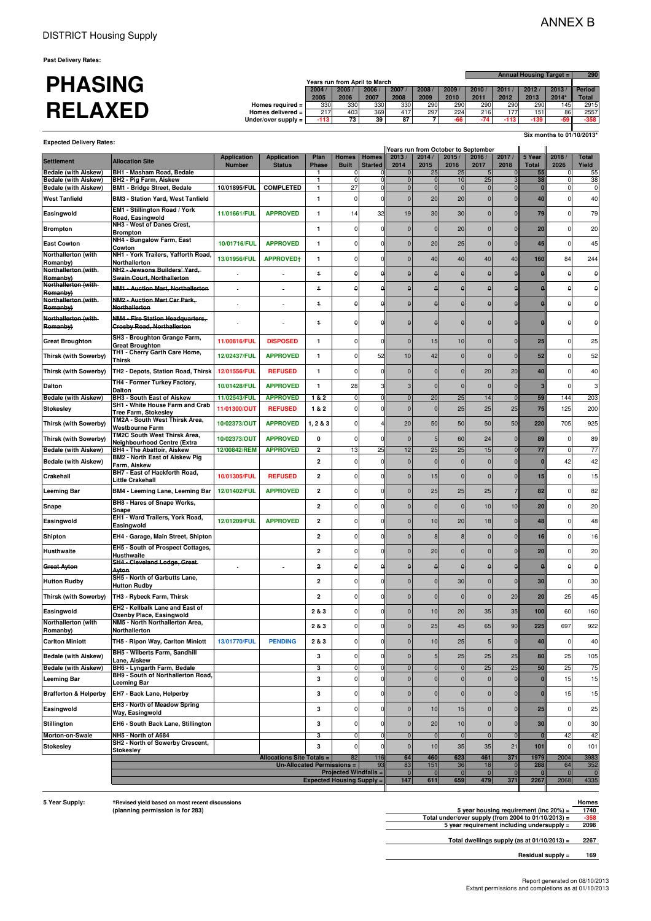**Past Delivery Rates:**

|                |                                |        |                               |      |      |      |      |      | <b>Annual Housing Target =  </b> |        |       |               |  |
|----------------|--------------------------------|--------|-------------------------------|------|------|------|------|------|----------------------------------|--------|-------|---------------|--|
| <b>PHASING</b> |                                |        | Years run from April to March |      |      |      |      |      |                                  |        |       |               |  |
|                |                                | 2004   | 2005                          | 2006 | 2007 | 2008 | 2009 | 2010 | 2011                             | 2012   | 2013  | <b>Period</b> |  |
|                |                                | 2005   | 2006                          | 2007 | 2008 | 2009 | 2010 | 2011 | 2012                             | 2013   | 2014' | <b>Total</b>  |  |
|                | Homes required $=$             | 330    | 330                           | 330  | 330  | 290  | 290  | 290  | 290                              | 290    | 145   | 2915          |  |
| <b>RELAXED</b> | Homes delivered $=$            | 217    | 403                           | 369  | 417  | 297  | 224  | 216  | 77                               | 151    | 86    | 2557          |  |
|                | Under/over supply $=$ $\vdash$ | $-113$ | 73                            | 39   | 87   |      |      |      |                                  | $-139$ | $-59$ | $-358$        |  |
|                |                                |        |                               |      |      |      |      |      |                                  |        |       |               |  |

**Expected Delivery Rates:**

**Six months to 01/10/2013\***

| Expected Delivery Rates:                                   |                                                                            |                                     |                                     |                         |                                  |                                | Years run from October to September |                            |                      |                      |                |                        |                            |                                |
|------------------------------------------------------------|----------------------------------------------------------------------------|-------------------------------------|-------------------------------------|-------------------------|----------------------------------|--------------------------------|-------------------------------------|----------------------------|----------------------|----------------------|----------------|------------------------|----------------------------|--------------------------------|
| <b>Settlement</b>                                          | <b>Allocation Site</b>                                                     | <b>Application</b><br><b>Number</b> | <b>Application</b><br><b>Status</b> | Plan<br><b>Phase</b>    | <b>Homes</b><br><b>Built</b>     | <b>Homes</b><br><b>Started</b> | 2013/<br>2014                       | 2014/<br>2015              | 2015/<br>2016        | 2016/<br>2017        | 2017/<br>2018  | 5 Year<br><b>Total</b> | 2018/<br>2026              | <b>Total</b><br>Yield          |
| <b>Bedale (with Aiskew)</b>                                | BH1 - Masham Road, Bedale                                                  |                                     |                                     | 1.                      | 0                                | 0                              | $\mathbf 0$                         | 25                         | 25                   |                      |                | 55                     | 0                          | 55                             |
| <b>Bedale (with Aiskew)</b><br><b>Bedale (with Aiskew)</b> | <b>BH2 - Pig Farm, Aiskew</b><br><b>BM1 - Bridge Street, Bedale</b>        | 10/01895/FUL                        | <b>COMPLETED</b>                    | 1<br>1                  | $\Omega$<br>27                   | $\mathcal{C}$<br>$\epsilon$    | $\pmb{0}$<br>$\mathbf 0$            | $\mathbf 0$<br>$\mathbf 0$ | 10<br>$\overline{0}$ | 25<br>$\Omega$       |                | 38<br>0                | $\mathbf 0$<br>$\mathbf 0$ | 38<br>$\pmb{0}$                |
| <b>West Tanfield</b>                                       | <b>BM3 - Station Yard, West Tanfield</b>                                   |                                     |                                     | 1                       | 0                                | 0                              | $\mathbf 0$                         | 20                         | 20                   | $\Omega$             |                | 40                     | 0                          | 40                             |
|                                                            | EM1 - Stillington Road / York                                              |                                     |                                     |                         |                                  | 32                             |                                     |                            |                      |                      |                |                        |                            |                                |
| Easingwold                                                 | Road, Easingwold                                                           | 11/01661/FUL                        | <b>APPROVED</b>                     | 1                       | 14                               |                                | 19                                  | 30                         | 30                   | $\mathbf{0}$         |                | 79                     | 0                          | 79                             |
| <b>Brompton</b>                                            | NH3 - West of Danes Crest,<br><b>Brompton</b>                              |                                     |                                     | 1                       | 0                                | $\Omega$                       | $\mathbf{0}$                        | $\mathbf{C}$               | 20                   | $\Omega$             | 0              | 20                     | 0                          | 20                             |
| <b>East Cowton</b>                                         | NH4 - Bungalow Farm, East<br>Cowton                                        | 10/01716/FUL                        | <b>APPROVED</b>                     | 1                       | 0                                | ſ                              | $\sqrt{ }$                          | 20                         | 25                   | $\Omega$             |                | 45                     | $\Omega$                   | 45                             |
| Northallerton (with                                        | NH1 - York Trailers, Yafforth Road,                                        | 13/01956/FUL                        | <b>APPROVED†</b>                    | 1                       | 0                                | O                              | $\Omega$                            | 40                         | 40                   | 40                   | 40             | 160                    | 84                         | 244                            |
| Romanby)<br>Northallerton (with-                           | Northallerton<br>NH2 - Jewsons Builders' Yard,                             |                                     |                                     |                         |                                  |                                |                                     |                            |                      |                      |                |                        |                            |                                |
| Romanby)                                                   | <b>Swain Court, Northallerton</b>                                          |                                     |                                     | $\ddagger$              | θ                                | A                              | $\theta$                            | $\epsilon$                 | $\pmb{\Theta}$       | $\theta$             | $\overline{a}$ |                        | $\theta$                   | $\theta$                       |
| Northallerton (with-<br>Romanby)                           | <b>NM1 - Auction Mart, Northallerton</b>                                   | ÷                                   |                                     | 4                       | θ                                |                                | $\epsilon$                          | €                          | $\theta$             | $\theta$             |                |                        | $\theta$                   | $\pmb{\Theta}$                 |
| Northallerton (with-                                       | NM2 - Auction Mart Car Park,                                               |                                     |                                     | 4                       | θ                                |                                | A                                   | A                          | $\Omega$             | $\Omega$             |                |                        | θ                          | θ                              |
| Romanby)                                                   | <b>Northallerton</b>                                                       |                                     |                                     |                         |                                  |                                |                                     |                            |                      |                      |                |                        |                            |                                |
| Northallerton (with-<br>Romanby)                           | NM4 - Fire Station Headquarters,<br><b>Crosby Road, Northallerton</b>      |                                     |                                     | $\overline{\mathbf{r}}$ | 0                                | A                              | $\epsilon$                          | $\epsilon$                 | $\theta$             | $\theta$             |                |                        | $\theta$                   | $\pmb{\uptheta}$               |
| <b>Great Broughton</b>                                     | SH3 - Broughton Grange Farm,                                               | 11/00816/FUL                        | <b>DISPOSED</b>                     | 1                       | 0                                | $\Omega$                       | $\sqrt{ }$                          | 15                         | 10                   | $\Omega$             |                | 25                     | 0                          | 25                             |
|                                                            | <b>Great Broughton</b><br>TH1 - Cherry Garth Care Home,                    |                                     |                                     |                         |                                  |                                |                                     |                            |                      |                      |                |                        |                            |                                |
| <b>Thirsk (with Sowerby)</b>                               | Thirsk                                                                     | 12/02437/FUL                        | <b>APPROVED</b>                     | 1                       | 0                                | 52                             | 10                                  | 42                         | 0                    | $\Omega$             |                | 52                     | 0                          | 52                             |
| Thirsk (with Sowerby)                                      | TH2 - Depots, Station Road, Thirsk                                         | 12/01556/FUL                        | <b>REFUSED</b>                      | 1                       | 0                                | $\Omega$                       | $\mathbf 0$                         | $\sqrt{ }$                 | $\mathbf 0$          | 20                   | 20             | 40                     | 0                          | 40                             |
| <b>Dalton</b>                                              | TH4 - Former Turkey Factory,                                               | 10/01428/FUL                        | <b>APPROVED</b>                     | $\mathbf{1}$            | 28                               |                                | 3                                   | $\mathbf{0}$               | $\mathbf 0$          | $\mathbf{0}$         | $\Omega$       |                        | $\Omega$                   | 3                              |
| <b>Bedale (with Aiskew)</b>                                | Dalton<br><b>BH3 - South East of Aiskew</b>                                | 11/02543/FUL                        | <b>APPROVED</b>                     | 182                     | $\Omega$                         |                                | $\mathbf{0}$                        | 20                         | 25                   | 14                   |                | 59                     | 144                        | 203                            |
| <b>Stokesley</b>                                           | SH1 - White House Farm and Crab                                            | 11/01300/OUT                        | <b>REFUSED</b>                      | 1&2                     | 0                                |                                | $\mathbf{0}$                        | $\mathbf{C}$               | 25                   | 25                   | 25             | 75                     | 125                        | 200                            |
|                                                            | Tree Farm, Stokesley<br>TM2A - South West Thirsk Area,                     |                                     |                                     |                         |                                  |                                |                                     |                            |                      |                      |                |                        |                            |                                |
| <b>Thirsk (with Sowerby)</b>                               | Westbourne Farm<br>TM2C South West Thirsk Area,                            | 10/02373/OUT                        | <b>APPROVED</b>                     | 1, 2 & 3                | 0                                |                                | 20                                  | 50                         | 50                   | 50                   | 50             | 220                    | 705                        | 925                            |
| <b>Thirsk (with Sowerby)</b>                               | Neighbourhood Centre (Extra                                                | 10/02373/OUT                        | <b>APPROVED</b>                     | 0                       | 0                                | $\Omega$                       | $\mathbf{0}$                        | 5                          | 60                   | 24                   | $\Omega$       | 89                     | 0                          | 89                             |
| <b>Bedale (with Aiskew)</b>                                | <b>BH4 - The Abattoir, Aiskew</b><br><b>BM2 - North East of Aiskew Pig</b> | 12/00842/REM                        | <b>APPROVED</b>                     | $\overline{2}$          | 13                               | 25                             | 12                                  | 25                         | 25                   | 15                   |                | 77                     | 0                          | 77                             |
| <b>Bedale (with Aiskew)</b>                                | Farm, Aiskew                                                               |                                     |                                     | 2                       | 0                                | $\Omega$                       | $\mathbf 0$                         | $\mathbf{C}$               | $\mathbf 0$          | $\Omega$             | $\Omega$       |                        | 42                         | 42                             |
| Crakehall                                                  | BH7 - East of Hackforth Road,<br>Little Crakehall                          | 10/01305/FUL                        | <b>REFUSED</b>                      | 2                       | 0                                | $\Omega$                       | $\mathbf 0$                         | 15                         | $\mathbf 0$          | $\mathbf{0}$         |                | 15                     | 0                          | 15                             |
| <b>Leeming Bar</b>                                         | BM4 - Leeming Lane, Leeming Bar                                            | 12/01402/FUL                        | <b>APPROVED</b>                     | 2                       | 0                                | $\Omega$                       | $\mathbf{0}$                        | 25                         | 25                   | 25                   |                | 82                     | $\Omega$                   | 82                             |
|                                                            | BH8 - Hares of Snape Works,                                                |                                     |                                     |                         |                                  |                                |                                     |                            |                      |                      |                |                        |                            |                                |
| Snape                                                      | Snape                                                                      |                                     |                                     | 2                       | 0                                | O                              | $\sqrt{ }$                          | $\sqrt{ }$                 | $\Omega$             | 10                   | 10             | 20                     | $\Omega$                   | 20                             |
| Easingwold                                                 | EH1 - Ward Trailers, York Road,<br>Easingwold                              | 12/01209/FUL                        | <b>APPROVED</b>                     | 2                       | 0                                | O                              | $\Omega$                            | 10                         | 20                   | 18                   | $\Omega$       | 48                     | 0                          | 48                             |
| Shipton                                                    | EH4 - Garage, Main Street, Shipton                                         |                                     |                                     | 2                       | 0                                | $\Omega$                       | $\mathbf{0}$                        | 8                          | 8                    | $\Omega$             |                | 16                     | 0                          | 16                             |
| Husthwaite                                                 | EH5 - South of Prospect Cottages,                                          |                                     |                                     | 2                       | 0                                | $\Omega$                       | $\Omega$                            | 20                         | $\mathbf 0$          | $\Omega$             |                | 20                     | 0                          | 20                             |
|                                                            | Husthwaite<br>SH4 - Cleveland Lodge, Great-                                |                                     |                                     |                         |                                  |                                |                                     |                            |                      |                      |                |                        |                            |                                |
| <b>Great Ayton</b>                                         | Ayton                                                                      |                                     |                                     | 2                       | Ĥ                                |                                | e                                   | $\epsilon$                 | $\theta$             | $\theta$             |                |                        | $\theta$                   | $\theta$                       |
| <b>Hutton Rudby</b>                                        | SH5 - North of Garbutts Lane,<br><b>Hutton Rudby</b>                       |                                     |                                     | 2                       | 0                                | $\Omega$                       | $\mathbf{C}$                        | $\mathbf 0$                | 30                   | $\mathbf{0}$         | $\Omega$       | 30                     | 0                          | 30                             |
| <b>Thirsk (with Sowerby)</b>                               | TH3 - Rybeck Farm, Thirsk                                                  |                                     |                                     | $\overline{2}$          | 0                                | $\Omega$                       | $\mathbf{0}$                        | $\mathbf{0}$               | $\Omega$             | $\mathbf{0}$         | 20             | 20                     | 25                         | 45                             |
|                                                            | EH2 - Kellbalk Lane and East of                                            |                                     |                                     |                         | 0                                | c                              | $\sqrt{ }$                          |                            | 20                   | 35                   | 35             | 100                    | 60                         |                                |
| Easingwold<br>Northallerton (with                          | Oxenby Place, Easingwold<br>NM5 - North Northallerton Area,                |                                     |                                     | 2&3                     |                                  |                                |                                     | 10                         |                      |                      |                |                        |                            | 160                            |
| Romanby)                                                   | Northallerton                                                              |                                     |                                     | 2 & 3                   | 0                                | $\Omega$                       | $\Omega$                            | 25                         | 45                   | 65                   | 90             | 225                    | 697                        | 922                            |
| <b>Carlton Miniott</b>                                     | TH5 - Ripon Way, Carlton Miniott                                           | 13/01770/FUL                        | <b>PENDING</b>                      | 2 & 3                   | 0                                | 0                              | $\mathbf 0$                         | 10                         | 25                   | 5                    | $\bf{0}$       | 40                     | 0                          | 40                             |
| <b>Bedale (with Aiskew)</b>                                | BH5 - Wilberts Farm, Sandhill                                              |                                     |                                     | 3                       | 0                                |                                | $\mathbf 0$                         | 5                          | 25                   | 25                   | 25             | 80                     | 25                         | 105                            |
| <b>Bedale (with Aiskew)</b>                                | Lane, Aiskew<br>BH6 - Lyngarth Farm, Bedale                                |                                     |                                     | 3                       | 0                                |                                | $\mathbf 0$                         | $\mathbf 0$                | $\mathbf 0$          | 25                   | 25             | 50                     | 25                         | 75                             |
| <b>Leeming Bar</b>                                         | BH9 - South of Northallerton Road,                                         |                                     |                                     | 3                       | 0                                |                                | $\mathbf 0$                         | $\Omega$                   | $\mathbf 0$          | $\pmb{0}$            | $\mathbf 0$    |                        | 15                         | 15                             |
|                                                            | Leeming Bar                                                                |                                     |                                     |                         |                                  |                                |                                     |                            |                      |                      |                |                        |                            |                                |
| <b>Brafferton &amp; Helperby</b>                           | EH7 - Back Lane, Helperby<br>EH3 - North of Meadow Spring                  |                                     |                                     | 3                       | 0                                | $\Omega$                       | $\pmb{0}$                           | $\mathbf 0$                | $\mathbf{0}$         | $\mathbf 0$          | 0              | 0                      | 15                         | 15                             |
| Easingwold                                                 | Way, Easingwold                                                            |                                     |                                     | 3                       | 0                                |                                | $\mathbf 0$                         | 10                         | 15                   | $\mathbf 0$          |                | 25                     | $\mathbf 0$                | 25                             |
| <b>Stillington</b>                                         | EH6 - South Back Lane, Stillington                                         |                                     |                                     | 3                       | 0                                |                                | $\mathbf 0$                         | 20                         | 10                   | $\mathbf 0$          | 0              | 30                     | 0                          | 30                             |
| Morton-on-Swale                                            | NH5 - North of A684                                                        |                                     |                                     | 3                       | 0                                |                                | $\mathbf 0$                         | $\mathbf{0}$               | $\mathbf{0}$         | $\mathbf 0$          |                |                        | 42                         | 42                             |
| <b>Stokesley</b>                                           | SH2 - North of Sowerby Crescent,<br><b>Stokesley</b>                       |                                     |                                     | 3                       | 0                                | $\Omega$                       | $\pmb{0}$                           | 10                         | 35                   | 35                   | 21             | 101                    | 0                          | 101                            |
|                                                            |                                                                            |                                     | <b>Allocations Site Totals =</b>    |                         | 82                               | 116                            | 64                                  | 460                        | 623                  | 461                  | 371            | 1979                   | 2004                       | 3983                           |
|                                                            |                                                                            |                                     | Un-Allocated Permissions =          |                         | <b>Projected Windfalls =</b>     | 93                             | 83<br>$\mathbf{0}$                  | 151<br>$\overline{0}$      | 36<br>$\overline{0}$ | 18<br>$\overline{0}$ | $\mathbf{0}$   | 288<br>$\mathbf{0}$    | 64<br>$\mathbf{0}$         | 352<br>$\overline{\mathbf{0}}$ |
|                                                            |                                                                            |                                     |                                     |                         | <b>Expected Housing Supply =</b> |                                | 147                                 | 611                        | 659                  | 479                  | 371            | 2267                   | 2068                       | 4335                           |
|                                                            |                                                                            |                                     |                                     |                         |                                  |                                |                                     |                            |                      |                      |                |                        |                            |                                |

**5 Year Supply:** -

**Revised yield based on most recent discussions**<br>
(planning permission is for 283) **Homes**<br>
(planning permission is for 283) **Homes**<br>
(planning permission is for 283)

**(planning permission is for 283) 5 year housing requirement (inc 20%) = 1740 Total under/over supply (from 2004 to 01/10/2013) = -358 5 year requirement including undersupply = 2098**

**Total dwellings supply (as at 01/10/2013) = 2267**

**Residual supply = 169**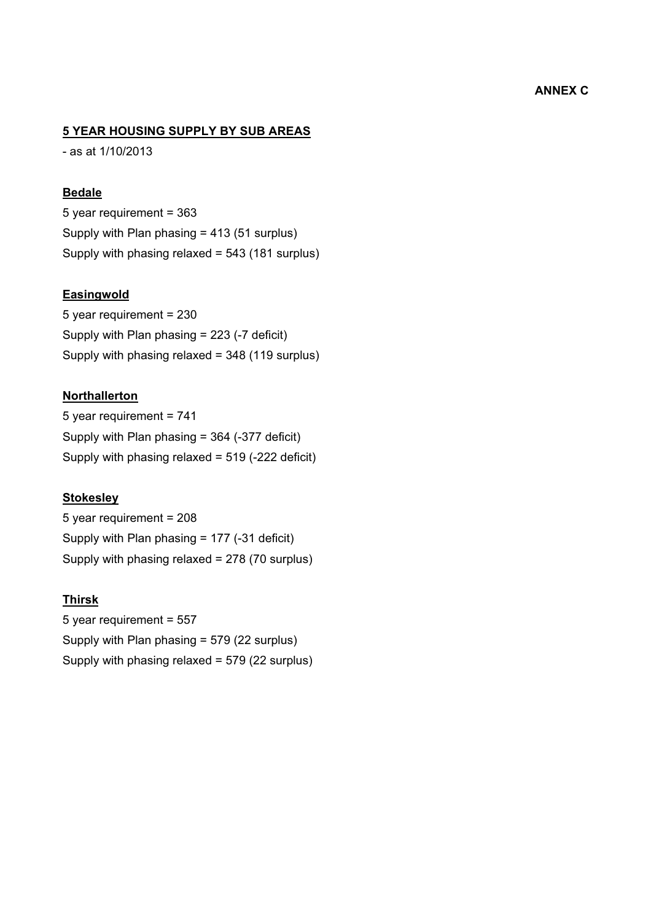# **ANNEX C**

## **5 YEAR HOUSING SUPPLY BY SUB AREAS**

- as at 1/10/2013

### **Bedale**

5 year requirement = 363 Supply with Plan phasing = 413 (51 surplus) Supply with phasing relaxed = 543 (181 surplus)

### **Easingwold**

5 year requirement = 230 Supply with Plan phasing = 223 (-7 deficit) Supply with phasing relaxed = 348 (119 surplus)

### **Northallerton**

5 year requirement = 741 Supply with Plan phasing = 364 (-377 deficit) Supply with phasing relaxed = 519 (-222 deficit)

#### **Stokesley**

5 year requirement = 208 Supply with Plan phasing = 177 (-31 deficit) Supply with phasing relaxed = 278 (70 surplus)

### **Thirsk**

5 year requirement = 557 Supply with Plan phasing = 579 (22 surplus) Supply with phasing relaxed = 579 (22 surplus)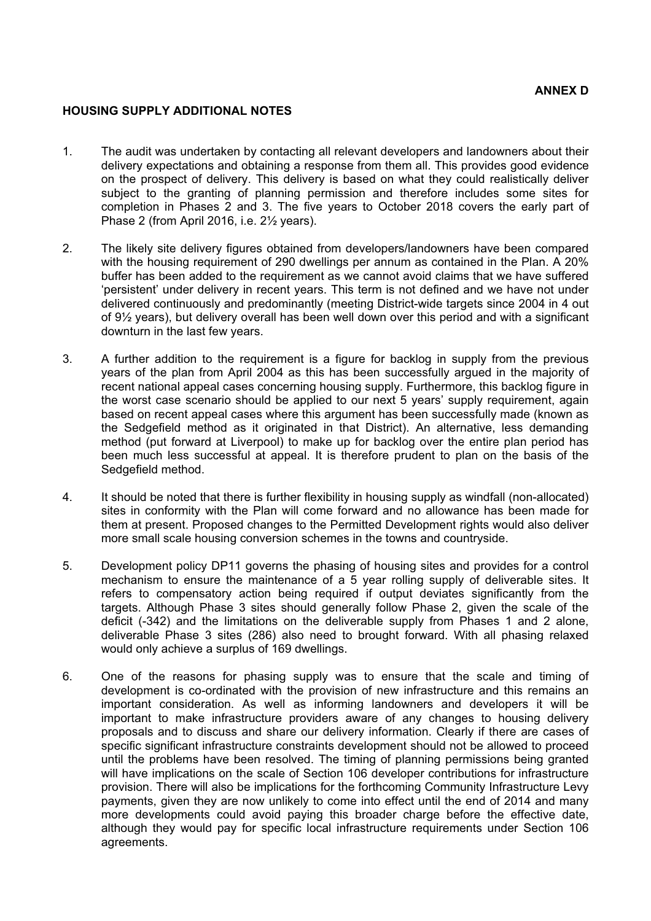### **HOUSING SUPPLY ADDITIONAL NOTES**

- 1. The audit was undertaken by contacting all relevant developers and landowners about their delivery expectations and obtaining a response from them all. This provides good evidence on the prospect of delivery. This delivery is based on what they could realistically deliver subject to the granting of planning permission and therefore includes some sites for completion in Phases 2 and 3. The five years to October 2018 covers the early part of Phase 2 (from April 2016, i.e. 2½ years).
- 2. The likely site delivery figures obtained from developers/landowners have been compared with the housing requirement of 290 dwellings per annum as contained in the Plan. A 20% buffer has been added to the requirement as we cannot avoid claims that we have suffered 'persistent' under delivery in recent years. This term is not defined and we have not under delivered continuously and predominantly (meeting District-wide targets since 2004 in 4 out of 9½ years), but delivery overall has been well down over this period and with a significant downturn in the last few years.
- 3. A further addition to the requirement is a figure for backlog in supply from the previous years of the plan from April 2004 as this has been successfully argued in the majority of recent national appeal cases concerning housing supply. Furthermore, this backlog figure in the worst case scenario should be applied to our next 5 years' supply requirement, again based on recent appeal cases where this argument has been successfully made (known as the Sedgefield method as it originated in that District). An alternative, less demanding method (put forward at Liverpool) to make up for backlog over the entire plan period has been much less successful at appeal. It is therefore prudent to plan on the basis of the Sedgefield method.
- 4. It should be noted that there is further flexibility in housing supply as windfall (non-allocated) sites in conformity with the Plan will come forward and no allowance has been made for them at present. Proposed changes to the Permitted Development rights would also deliver more small scale housing conversion schemes in the towns and countryside.
- 5. Development policy DP11 governs the phasing of housing sites and provides for a control mechanism to ensure the maintenance of a 5 year rolling supply of deliverable sites. It refers to compensatory action being required if output deviates significantly from the targets. Although Phase 3 sites should generally follow Phase 2, given the scale of the deficit (-342) and the limitations on the deliverable supply from Phases 1 and 2 alone, deliverable Phase 3 sites (286) also need to brought forward. With all phasing relaxed would only achieve a surplus of 169 dwellings.
- 6. One of the reasons for phasing supply was to ensure that the scale and timing of development is co-ordinated with the provision of new infrastructure and this remains an important consideration. As well as informing landowners and developers it will be important to make infrastructure providers aware of any changes to housing delivery proposals and to discuss and share our delivery information. Clearly if there are cases of specific significant infrastructure constraints development should not be allowed to proceed until the problems have been resolved. The timing of planning permissions being granted will have implications on the scale of Section 106 developer contributions for infrastructure provision. There will also be implications for the forthcoming Community Infrastructure Levy payments, given they are now unlikely to come into effect until the end of 2014 and many more developments could avoid paying this broader charge before the effective date, although they would pay for specific local infrastructure requirements under Section 106 agreements.